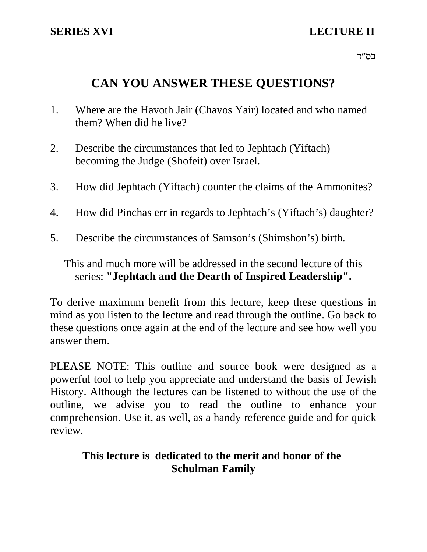# **SERIES XVI** LECTURE II

בס"ד $\,$ 

# **CAN YOU ANSWER THESE QUESTIONS?**

- 1. Where are the Havoth Jair (Chavos Yair) located and who named them? When did he live?
- 2. Describe the circumstances that led to Jephtach (Yiftach) becoming the Judge (Shofeit) over Israel.
- 3. How did Jephtach (Yiftach) counter the claims of the Ammonites?
- 4. How did Pinchas err in regards to Jephtach's (Yiftach's) daughter?
- 5. Describe the circumstances of Samson's (Shimshon's) birth.

This and much more will be addressed in the second lecture of this series: **"Jephtach and the Dearth of Inspired Leadership".**

To derive maximum benefit from this lecture, keep these questions in mind as you listen to the lecture and read through the outline. Go back to these questions once again at the end of the lecture and see how well you answer them.

PLEASE NOTE: This outline and source book were designed as a powerful tool to help you appreciate and understand the basis of Jewish History. Although the lectures can be listened to without the use of the outline, we advise you to read the outline to enhance your comprehension. Use it, as well, as a handy reference guide and for quick review.

# **This lecture is dedicated to the merit and honor of the Schulman Family**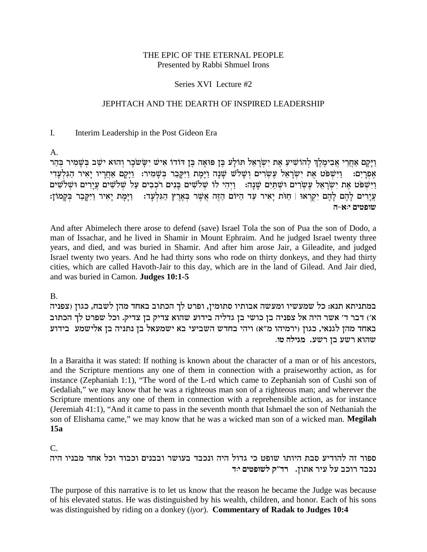# THE EPIC OF THE ETERNAL PEOPLE Presented by Rabbi Shmuel Irons

# Series XVI Lecture #2

# JEPHTACH AND THE DEARTH OF INSPIRED LEADERSHIP

#### $\mathbf{I}$ . Interim Leadership in the Post Gideon Era

 $A_{\cdot}$ 

וַיַּקָם אַחֲרֵי אֲבִימֱלֶךְ לְהוֹשִׁיעַ אֶת יִשְׂרָאֵל תּוֹלַע בֵּן פּוּאָה בֵּן דּוֹדוֹ אִישׁ יִשַּׂשֹׁכָר וְהוּא ישָׁב בִּשָּׁמִיר בִּהֶר וַיִּשְׁפֹּט אֶת יִשְׂרָאֵל עֵשְׂרִים וְשָׁלֹשׁ שַׁנָּה וַיַּמַת וַיִּקַבֶר בְּשָׁמִיר: וַיַּקַם אֲחֲרִיו יַאִיר הַגִּלְעָדִי אפרים: וַיִּשְׁפֹּט אֶת יִשְׂרָאֵל עֶשְׂרִים וּשָׁתַּיִם שָׁנָה: וַיִּהִי לוֹ שִׁלֹשִׁים בְּנִים רֹכְבִים עַל שְׁלֹשִׁים עֵיָרִים וּשַׁלֹשִׁים עֵירים לַהֵם לַהֶם יִקְרֹאוּ | חִוּת יַאִיר עַד הַיּוֹם הַזֶּה אֲשֶׁר בַּאֲרִץ הַגִּלְעֲד: - וַיַּמַת יַאִיר וַיִּקְבֵר בִּקְמוֹן: שופטים י:א-ה

And after Abimelech there arose to defend (save) Israel Tola the son of Pua the son of Dodo, a man of Issachar, and he lived in Shamir in Mount Ephraim. And he judged Israel twenty three years, and died, and was buried in Shamir. And after him arose Jair, a Gileadite, and judged Israel twenty two years. And he had thirty sons who rode on thirty donkeys, and they had thirty cities, which are called Havoth-Jair to this day, which are in the land of Gilead. And Jair died, and was buried in Camon. Judges 10:1-5

**B.** 

במתניתא תנא: כל שמעשיו ומעשה אבותיו סתומין, ופרט לך הכתוב באחד מהן לשבח, כגון (צפניה א׳) דבר ד׳ אשר היה אל צפניה בן כושי בן גדליה בידוע שהוא צדיק בן צדיק. וכל שפרט לך הכתוב באחד מהן לגנאי, כגון (ירמיהו מ"א) ויהי בחדש השביעי בא ישמעאל בן נתניה בן אלישמע בידוע שהוא רשע בן רשע. מגילה טו.

In a Baraitha it was stated: If nothing is known about the character of a man or of his ancestors, and the Scripture mentions any one of them in connection with a praiseworthy action, as for instance (Zephaniah 1:1), "The word of the L-rd which came to Zephaniah son of Cushi son of Gedaliah," we may know that he was a righteous man son of a righteous man; and wherever the Scripture mentions any one of them in connection with a reprehensible action, as for instance (Jeremiah 41:1), "And it came to pass in the seventh month that Ishmael the son of Nethaniah the son of Elishama came," we may know that he was a wicked man son of a wicked man. Megilah  $15a$ 

 $C_{\cdot}$ 

ספור זה להודיע סבת היותו שופט כי גדול היה ונכבד בעושר ובבנים וכבוד וכל אחד מבניו היה נכבד רוכב על עיר אתון. חד"ק לשופטים יוד

The purpose of this narrative is to let us know that the reason he became the Judge was because of his elevated status. He was distinguished by his wealth, children, and honor. Each of his sons was distinguished by riding on a donkey (iyor). Commentary of Radak to Judges  $10:4$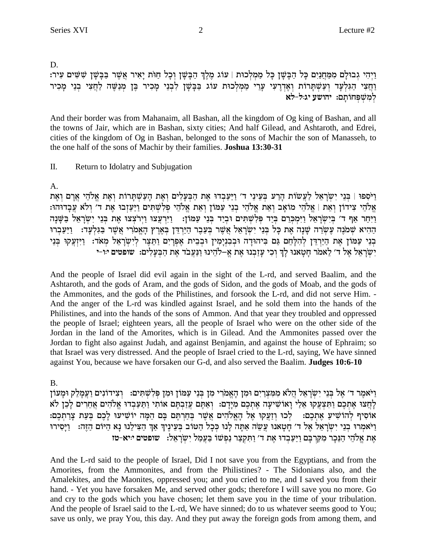D.

וַיְהִי גִבוּלַם מִמַּחֲנַיִם כַּל הַבָּשָׁן כָּל מַמְלְכוּת | עוֹג מֶלֶךְ הַבָּשֵׁן וְכָל חַוֹּת יַאֲיר אֲשֶׁר בַּבָּשָׁן שָׁשִּׁים עִיר: וַחֲצִי הַגִּלְעָד וְעַשְׁתָרוֹת וְאֶדְרֶעִי עָרֵי מַמְלְכוּת עוֹג בַּבְשָׁן לִבְנֵי מָכִיר בֶּן מְנַשֶּׁה לַחֲצִי בְנֵי מָכִיר .<br>למשפחותם: יהושע יג:ל-לא

And their border was from Mahanaim, all Bashan, all the kingdom of Og king of Bashan, and all the towns of Jair, which are in Bashan, sixty cities; And half Gilead, and Ashtaroth, and Edrei, cities of the kingdom of Og in Bashan, belonged to the sons of Machir the son of Manasseh, to the one half of the sons of Machir by their families. **Joshua 13:30-31** 

### $\Pi$ . Return to Idolatry and Subjugation

 $A<sub>1</sub>$ 

ויספו | בני ישראל לעשות הרע בעיני ד׳ ויעבדו את הבעלים ואת העשתרות ואת אלהי ארם ואת אֵלֹהֵי צִידוֹן וְאֶת | אֱלֹהֵי מוֹאֶב וְאֶת אֱלֹהֵי בְנֵי עֲמוֹן וְאֶת אֱלֹהֵי פְלְשֶׁתִּים וַיַּעֲזָבוּ אֶת ד׳ וְלֹא עֲבָדוּהוּ: .<br>ויחר אף ד' בישראל וימכרם ביד פלשתים וביד בני עמון: | וירעצו וירצצו את בני ישראל בשנה ההיא שמנה עשרה שנה את כל בני ישראל אשר בעבר הירדן בארץ האמרי אשר בגלעד: ניעברו בְנֵי עַמֹּוֹן אֶת הַיַּרְדֶּן לְהִלָּחֵם גִּם בִּיהוּדָה וּבְבְנִימִין וּבְבֵית אָפְרֵים וַתְּצֶר לְיִשְרָאֵל מְאֹד: וַיִּזְעֲקוּ בְּנֵי יִשְׁרָאֵל אֵל ד׳ לֵאמֹר חָטָאנוּ לַךְ וְכִי עַזָבְנוּ אֶת אֵ–לֹהֵינוּ וַנַּעֲבֹד אֶת הַבְעָלִים: שׁופּטים יוֹ-י

And the people of Israel did evil again in the sight of the L-rd, and served Baalim, and the Ashtaroth, and the gods of Aram, and the gods of Sidon, and the gods of Moab, and the gods of the Ammonites, and the gods of the Philistines, and forsook the L-rd, and did not serve Him. -And the anger of the L-rd was kindled against Israel, and he sold them into the hands of the Philistines, and into the hands of the sons of Ammon. And that year they troubled and oppressed the people of Israel; eighteen years, all the people of Israel who were on the other side of the Jordan in the land of the Amorites, which is in Gilead. And the Ammonites passed over the Jordan to fight also against Judah, and against Benjamin, and against the house of Ephraim; so that Israel was very distressed. And the people of Israel cried to the L-rd, saying, We have sinned against You, because we have forsaken our G-d, and also served the Baalim. Judges 10:6-10

**B.** 

וַיֹּאמֶר ד׳ אֵל בְּנֵי יִשְׂרָאֵל הֲלֹא מְמִצְרַיִם וּמִן הָאֱמֹרִי מְן בְּנֵי עַמּוֹן וּמְן פִּלְשָׁתִּים: וְצִידוֹנִים וַעֲמָלֵק וּמַעוֹן לְחֵצוּ אֶתְכֶם וַתִּצְעֲקוּ אֶלַי וָאוֹשִׁיעָה אֶתְכֶם מִיָּדָם: וְאַתֵּם עֲזַבְתֵּם אוֹתִי וַתַּעַבְדוּ אֱלֹהִים אֲחֵרִים לְכֵן לֹא אוֹסִיף לְהוֹשִׁיעַ אֶתְכֶם: לְכוּ וְזַעֲקוּ אֶל הָאֱלֹהִים אֲשֶׁר בְּחַרְתֵּם בָּם הֵמָּה יוֹשִׁיעוּ לַכֶם בִּעֵת צַרַתְכֶם: וַיֹּאמְרוּ בְנֵי יְשְׂרָאֵל אֶל ד׳ חַטַאנוּ עֲשֶׂה אַתַּה לַנוּ כְּכָל הַטּוֹב בְּעֵינֵיךְ אַךְ הַצִּילֵנוּ נַא הַיּוֹם הַזֶּה: וַיַּסִירוּ אֶת אֱלֹהֵי הַנֵּכֵר מִקְרִבֵּם וַיַּעֲבְדוּ אֶת ד' וַתִּקְצַר נַפִּשׁוֹ בַּעֲמֵל יְשְׂרָאֵל: | שופטים יויא-טז

And the L-rd said to the people of Israel, Did I not save you from the Egyptians, and from the Amorites, from the Ammonites, and from the Philistines? - The Sidonians also, and the Amalekites, and the Maonites, oppressed you; and you cried to me, and I saved you from their hand. - Yet you have forsaken Me, and served other gods; therefore I will save you no more. Go and cry to the gods which you have chosen; let them save you in the time of your tribulation. And the people of Israel said to the L-rd, We have sinned; do to us whatever seems good to You; save us only, we pray You, this day. And they put away the foreign gods from among them, and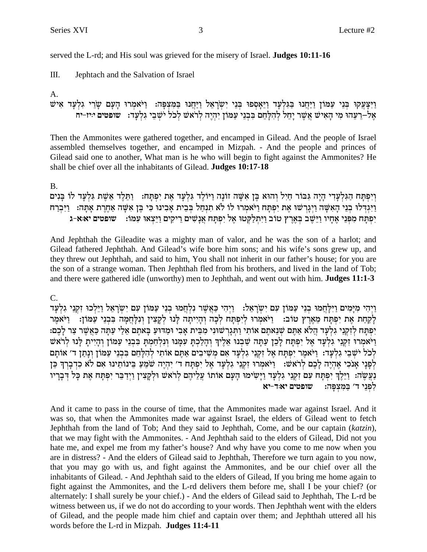3

served the L-rd; and His soul was grieved for the misery of Israel. **Judges 10:11-16** 

 $III.$ Jephtach and the Salvation of Israel

 $A<sub>1</sub>$ 

וַיִּצַעֲקוּ בְּנֵי עַמּוֹן וַיָּחֲנוּ בִּגִּלְעָד וַיֵּאֲסְפוּ בְּנֵי יִשְׂרָאֱל וַיַּחֲנוּ בַּמְצִפָּה: וַיֹּאמְרוּ הַעָּם שַׂרֵי גִלְעָד אִישׁ אל–רעהו מי האיש אשר יחל להלחם בבני עמון יהיה לראש לכל ישבי גלעד: עופטים יויז-יח

Then the Ammonites were gathered together, and encamped in Gilead. And the people of Israel assembled themselves together, and encamped in Mizpah. - And the people and princes of Gilead said one to another, What man is he who will begin to fight against the Ammonites? He shall be chief over all the inhabitants of Gilead. Judges 10:17-18

 $B<sub>1</sub>$ 

וְיִפְתָּח הַגִּלְעָדִי הָיָה גִּבּוֹר חַיִּל וְהוּא בֶּן אִשָּׁה זוֹנָה וַיּוֹלֶד גִּלְעָד אֶת יִפְתְּח: וַתֵּלֶד אֵשֶׁת גִּלְעָד לוֹ בְּנִים וַיְּגִדְלוּ בְנֵי הָאָשֶׁה וַיְגַרְשׁוּ אֶת יִפְתַּח וַיֹּאמְרוּ לוֹ לֹא תִנְחַל בְּבֵית אַבִינוּ כִּי בֵּן אִשָּׁה אַחֲרֶת אַתְּה: - וַיִּבְרָח יִפְתַּח מִפְּנֵי אֶחָיו וַיֵּשֵׁב בְּאֶרֶץ טוֹב וַיִּתְלַקְטוּ אֶל יִפְתַּח אֲנָשִׁים רֵיקִים וַיֵּצְאוּ עִמּו: עוּפּטים יא:א-ג

And Jephthah the Gileadite was a mighty man of valor, and he was the son of a harlot; and Gilead fathered Jephthah. And Gilead's wife bore him sons; and his wife's sons grew up, and they threw out Jephthah, and said to him, You shall not inherit in our father's house; for you are the son of a strange woman. Then Jephthah fled from his brothers, and lived in the land of Tob; and there were gathered idle (unworthy) men to Jephthah, and went out with him. Judges 11:1-3

 $C_{\cdot}$ 

ויהי מימים וילחמו בני עמון עם ישראל: | ויהי כאשר נלחמו בני עמון עם ישראל וילכו זקני גלעד לַקַחַת אֶת יִפְתַּח מֵאֵרֵץ טוֹב: - וַיֹּאמִרוּ לִיִפְתַּח לִכָה וְהַיִיתַה לַּנוּ לִקַצִין וְנִלַּחֲמַה בִּבְנֵי עַמּוֹן: - וַיֹּאמֵר יפתח לזקני גלעד הלא אתם שנאתם אותי ותגרשוני מבית אבי ומדוע באתם אלי עתה כאשר צר לכם: וַיֹּאמְרוּ זְקְנֵי גִלְעָד אֵל יִפְתַּח לַכֵן עַתַּה שַׁבְנוּ אֵלֵיךְ וְהַלָכְתַּ עִמְּנוּ וְנִלְחָמִתַּ בְּבְנֵי עַמּוֹן וְהָיִיתַ לַּנוּ לְרֹאשׁ לְכֹל יֹשֶׁבֵי גִלְעָד: וַיֹּאמֶר יִפְתַּח אֵל זִקְנֵי גִלְעָד אִם מְשִׁיבִים אַתֵּם אוֹתִי לְהָלָחֵם בִּבְנֵי עַמּוֹן וְנָתַן ד׳ אוֹתַם לְפַנַי אֲנֹכִי אֶהְיֶה לַכֵם לְרֹאשׁ: וַיֹּאמְרוּ זִקְנֵי גִלְעַד אֱל יִפְתַּח ד׳ יִהְיֶה שֹׁמֵעַ בֵּינוֹתֵינוּ אִם לֹא כְדְבָרְךָ כֵּן נַעֲשֶׂה: וַיֵּלֶךְ יִפְתָּח עִם זִקְנֵי גִלְעָד וַיָּשִׂימוּ הָעָם אוֹתוֹ עֲלֵיהֶם לְרֹאשׁ וּלְקָצִין וַיִדַבֵּר יִפְתָּח אֶת כָּל דִּבְרָיו לְפְנֵי ד' בַּמְצִפָּה: | שופטים יא:ד-יא

And it came to pass in the course of time, that the Ammonites made war against Israel. And it was so, that when the Ammonites made war against Israel, the elders of Gilead went to fetch Jephthah from the land of Tob; And they said to Jephthah, Come, and be our captain (katzin), that we may fight with the Ammonites. - And Jephthah said to the elders of Gilead, Did not you hate me, and expel me from my father's house? And why have you come to me now when you are in distress? - And the elders of Gilead said to Jephthah, Therefore we turn again to you now, that you may go with us, and fight against the Ammonites, and be our chief over all the inhabitants of Gilead. - And Jephthah said to the elders of Gilead, If you bring me home again to fight against the Ammonites, and the L-rd delivers them before me, shall I be your chief? (or alternately: I shall surely be your chief.) - And the elders of Gilead said to Jephthah, The L-rd be witness between us, if we do not do according to your words. Then Jephthah went with the elders of Gilead, and the people made him chief and captain over them; and Jephthah uttered all his words before the L-rd in Mizpah. Judges 11:4-11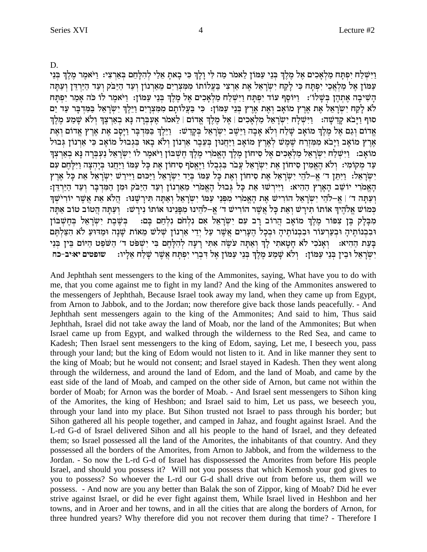D.

וישלח יפתח מלאכים אל מלך בני עמון לאמר מה לי ולך כי באת אלי להלחם בארצי: ויאמר מלך בני עמון אל מלאכי יפתח כי לקח ישראל את ארצי בעלותו ממצרים מארנון ועד היבק ועד הירדן ועתה הַשִּׁיכָה אֶתְהֶן בְּשֵׁלוֹ׳: [יוֹסֵף עוֹד יִפְתַּח וַיִּשְׁלַח מַלְאָכִים אֶל מֶלֶךְ בְּנֵי עַמּוֹן: וַיֹּאמֶר לוֹ כֹּה אָמַר יִפְתַּח לא לַקַח יִשְׂרָאֵל אֶת אֶרֶץ מוֹאָב וְאֶת אֶרֶץ בְּנֵי עַמּוֹן: כִּי בַּעֲלוֹתֵם מִמִּצְרֵיִם וַיֵּלֶךְ יְשְׂרָאֵל בַּמִּדְבַּר עַד יַם סוף וַיַּבֹא קֵדְשָׁה: וַיִּשְׁלַח יִשְׂרָאֵל מַלְאָכִים | אֶל מֶלֶךְ אֱדום | לֵאמר אֶעְבְרָה נָא בְאַרְצֶךְ וְלֹא שָׁמַע מֶלֶךְ אַרוֹם וְגַם אֶל מֶלֶךְ מוֹאָב שָׁלָח וְלֹא אָבָה וַיִּשֶׁב יִשְׂרָאֵל בְּקָדְשׁ: - וַיֵּלֵךְ בְּמִדְבָר וַיַּסֶב אֶת אָרץ אַדוֹם וְאֶת אֶרֶץ מוֹאָב וַיַּבֹא מִמְזִרָח שֶׁמֶשׁ לְאֶרֶץ מוֹאָב וַיַּחֲנוּן בְּעֶבֶר אַרְנוֹן וְלֹא בָאוּ בְּגְבוּל מוֹאָב כִּי אַרְנוֹן גְבוּל מואב: וישלח ישראל מלאכים אל סיחון מלך האמרי מלך חשבון ויאמר לו ישראל נעברה נא בארצך עד מקומי: ולא האמין סיחון את ישראל עבר בגבלו ויאסף סיחון את כל עמו ויחנו ביהצה וילהם עם יְשְׂרָאֵל: וַיְּתֵן ד' אֵ–לֹהֵי יְשְׂרָאֵל אֶת סִיחוֹן וְאֶת כַּל עֲמוֹ בְּיַד יְשֶׂרָאֵל וַיָּכּוּם וַיִּירַשׁ יְשְׂרָאֵל אֶת כַּל אֶרִץ הָאֲמֹרִי יוֹשֶׁב הָאֲרֶץ הַהִיא: וַיִּיְרְשׁוּ אֶת כָּל גִּבוּל הָאֲמֹרִי מֵאֲרְנוֹן וְעַד הַיַּבֹּק וּמִן הַמְּדְבָר וְעַד הַיַּרְדֶן: וְעַתָּה ד׳ | אֵ–לֹהֵי יִשְׂרָאֵל הוֹרִישׁ אֵת הָאֵמֹרִי מִפְּנֵי עַמּוֹ יִשְׂרָאֵל וְאַתָּה תִּירָשֵׁנוּ: הֲלֹא אֵת אֲשֶׁר יוֹרִישָׁךְ כְּמוֹשׁ אֱלֹהֶיֹךְ אוֹתוֹ תִירָשׁ וָאֶת כָּל אֲשֶׁר הוֹרִישׁ ד' אֱ–לֹהֶינוּ מִפְּנֵינוּ אוֹתוֹ נִירָשׁ: וְעַתָּה הֲטוֹב טוֹב אַתָּה מִבָּלָק בֵּן צִפּוֹר מֵלֵךְ מוֹאָב הֲרוֹב רָב עִם יִשְׂרָאֵל אִם נִלְחֹם נִלְחַם בָּם: | בִּשֵּׁבֵת יִשְׂרָאֵל בִּחֵשְׁבּוֹן וּבְבְנוֹתֵיהָ וּבְעַרְעוֹר וּבְבְנוֹתֵיהָ וּבְכָל הֵעָרִים אֲשֶׁר עַל יְדֵי אַרְנוֹן שָׁלֹש מֵאוֹת שַׁנָה וּמַדוֹעַ לֹא הִצָּלְתֵּם בַּעֲת הָהִיא: וְאֲנֹכִי לֹא חַטֲאתִי לַךְ וְאַתָּה עֹשֶׂה אִתִּי רַעַה לְהָלָחֵם בִּי יִשְׁפּט ד׳ הַשֹּׁפֵט הַיּוֹם בֵּין בְּנֵי יְשִׂרְאֵל וּבִין בְּנֵי עַמּוֹן: וְלֹא שָׁמַע מְלֵךְ בְּנֵי עַמּוֹן אֵל דְּבְרִי יִפְתַּח אֲשֶׁר שַׁלַח אֲלִיו: שופטים יאויב-כח

And Jephthah sent messengers to the king of the Ammonites, saying, What have you to do with me, that you come against me to fight in my land? And the king of the Ammonites answered to the messengers of Jephthah, Because Israel took away my land, when they came up from Egypt, from Arnon to Jabbok, and to the Jordan; now therefore give back those lands peacefully. - And Jephthah sent messengers again to the king of the Ammonites; And said to him, Thus said Jephthah, Israel did not take away the land of Moab, nor the land of the Ammonites; But when Israel came up from Egypt, and walked through the wilderness to the Red Sea, and came to Kadesh; Then Israel sent messengers to the king of Edom, saying, Let me, I beseech you, pass through your land; but the king of Edom would not listen to it. And in like manner they sent to the king of Moab; but he would not consent; and Israel stayed in Kadesh. Then they went along through the wilderness, and around the land of Edom, and the land of Moab, and came by the east side of the land of Moab, and camped on the other side of Arnon, but came not within the border of Moab; for Arnon was the border of Moab. - And Israel sent messengers to Sihon king of the Amorites, the king of Heshbon; and Israel said to him, Let us pass, we beseech you, through your land into my place. But Sihon trusted not Israel to pass through his border; but Sihon gathered all his people together, and camped in Jahaz, and fought against Israel. And the L-rd G-d of Israel delivered Sihon and all his people to the hand of Israel, and they defeated them; so Israel possessed all the land of the Amorites, the inhabitants of that country. And they possessed all the borders of the Amorites, from Arnon to Jabbok, and from the wilderness to the Jordan. - So now the L-rd G-d of Israel has dispossessed the Amorites from before His people Israel, and should you possess it? Will not you possess that which Kemosh your god gives to you to possess? So whoever the L-rd our G-d shall drive out from before us, them will we possess. - And now are you any better than Balak the son of Zippor, king of Moab? Did he ever strive against Israel, or did he ever fight against them, While Israel lived in Heshbon and her towns, and in Aroer and her towns, and in all the cities that are along the borders of Arnon, for three hundred years? Why therefore did you not recover them during that time? - Therefore I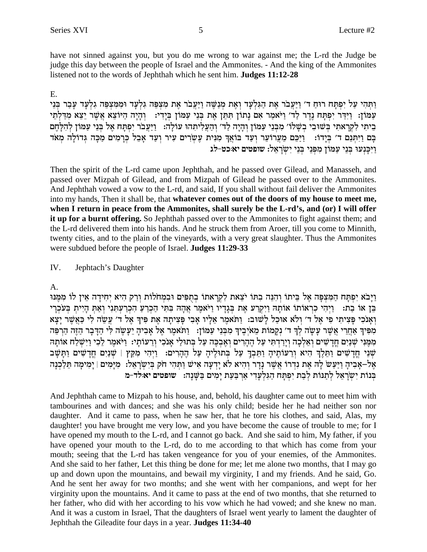have not sinned against you, but you do me wrong to war against me; the L-rd the Judge be judge this day between the people of Israel and the Ammonites. - And the king of the Ammonites listened not to the words of Jephthah which he sent him. Judges 11:12-28

### $E_{\perp}$

ותהי על יפתח רוח ד׳ ויעבר את הגלעד ואת מנשה ויעבר את מצפה גלעד וממצפה גלעד עבר בני עמון: וידר יפתח נדר לד׳ ויאמר אם נתון תתן את בני עמון בידי: | והיה היוצא אשר יצא מדלתי ביתי לקרָאתי בְּשׁוּבִי בְשָׁלוֹ׳ מִבְּנֵי עַמּוֹן וְהָיָה לַד׳ וְהַעֲלִיתְהוּ עוֹלָה: וַיַּעֲבֹר יִפְתָּח אֵל בִּנֵי עַמּוֹן לְהִלַּחֵם בָּם וַיִּתְּנֵם ד׳ בְּיָדוֹ: [יַכֵּם מֵעֲרוֹעֵר וְעַד בּוֹאֲךְ מִנִּית עֵשְׂרִים עִיר וְעַד אָבֶל כְּרָמִים מַכָּה גִּדוֹלָה מְאֹד ויכנעו בני עמון מפני בני ישראל: שופטים יא:כט-לג

Then the spirit of the L-rd came upon Jephthah, and he passed over Gilead, and Manasseh, and passed over Mizpah of Gilead, and from Mizpah of Gilead he passed over to the Ammonites. And Jephthah vowed a vow to the L-rd, and said, If you shall without fail deliver the Ammonites into my hands, Then it shall be, that whatever comes out of the doors of my house to meet me, when I return in peace from the Ammonites, shall surely be the L-rd's, and (or) I will offer it up for a burnt offering. So Jephthah passed over to the Ammonites to fight against them; and the L-rd delivered them into his hands. And he struck them from Aroer, till you come to Minnith, twenty cities, and to the plain of the vineyards, with a very great slaughter. Thus the Ammonites were subdued before the people of Israel. Judges 11:29-33

IV. Jephtach's Daughter

A.

וַיַּבֹא יִפְתַּח הַמְּצְפָּה אֵל בֵּיתוֹ וְהִנֵּה בְתּוֹ יֹצֵאת לְקְרַאתוֹ בְתִפִּים וּבְמְחֹלוֹת וְרַק הִיא יְחִידַה אֵין לוֹ מִמֵּנּוּ בֵּן אוֹ בַת: [יִהִי כִרְאוֹתוֹ אוֹתָהּ וַיִקְרַע אֵת בְּגָדָיו וַיֹּאמֵר אֲהָהּ בִּתְּי הַכְרֵעַ הָכְרַעְתְּנִי וְאַתְּ הָיִיתָ בִּעֹכְרֵי ואַנכִי פַּצִיתִי פִי אָל ד׳ וְלֹא אוּכָל לַשׁוּב: וַתֹּאמֵר אָלִיו אָבִי פַּצִיתָה אֶת פִּיךְ אֶל ד׳ עֲשֶׂה לִי כַּאֲשֶׁר יָצָא מִפִּיךְ אַחֲרֵי אֲשֶׁר עַשָׂה לְךָ ד׳ נִקֲמוֹת מֵאֹיָבֵיךְ מִבְּנֵי עַמּוֹן: [וַתֹּאמֶר אֶל אַבִיהַ יַעֲשֶׂה לִי הַדַּבָר הַזֶּה הַרִפֶּה מִמֶּנִּי שְׁנַיִם חֲדָשִׁים וְאֵלְכָה וְיָרַדְתִּי עַל הֶהָרִים וְאֲבְכֶּה עַל בְּתוּלַי אֲנֹכִי וְרֵעוֹתָי: וַיֹּאמֶר לֶכִי וַיִּשְׁלַח אוֹתָה שִׁנֵי חֲדָשִׁים וַתֲלֵךְ הִיא וְרֵעוֹתִיהָ וַתֵּבְךָ עַל בְּתוּלֵיהָ עַל הֶהָרִים: וַיִּהִי מִקֵץ | שִׁנַיִם חֲדָשִׁים וַתַּשַּׁב אֶל–אָבִיהָ וַיַּעַשׂ לַהּ אֶת נִדְרוֹ אֲשֶׁר נַדָר וְהִיא לֹא יַדְעָה אִישׁ וַתְּהִי חֹק בְּיִשְׂרָאֱלֹ: מִיַּמִים | יַמִימַה תֵּלַכְנָה בְּנוֹת יְשְׂרָאֵל לְתַנּוֹת לְבָת יִפְתַּח הַגִּלְעָדִי אַרְבַּעַת יַמִים בַּשֵּׁנָה: שופטים יא לד-מ

And Jephthah came to Mizpah to his house, and, behold, his daughter came out to meet him with tambourines and with dances; and she was his only child; beside her he had neither son nor daughter. And it came to pass, when he saw her, that he tore his clothes, and said, Alas, my daughter! you have brought me very low, and you have become the cause of trouble to me; for I have opened my mouth to the L-rd, and I cannot go back. And she said to him, My father, if you have opened your mouth to the L-rd, do to me according to that which has come from your mouth; seeing that the L-rd has taken vengeance for you of your enemies, of the Ammonites. And she said to her father, Let this thing be done for me; let me alone two months, that I may go up and down upon the mountains, and bewail my virginity, I and my friends. And he said, Go. And he sent her away for two months; and she went with her companions, and wept for her virginity upon the mountains. And it came to pass at the end of two months, that she returned to her father, who did with her according to his vow which he had vowed; and she knew no man. And it was a custom in Israel, That the daughters of Israel went yearly to lament the daughter of Jephthah the Gileadite four days in a year. Judges 11:34-40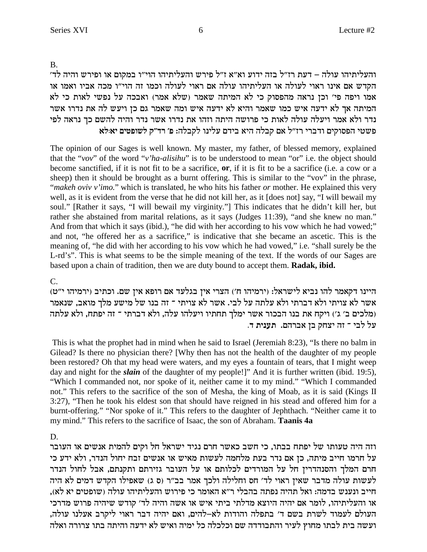B.

'והעליתיהו עולה – דעת רז״ל בזה ידוע וא״א ז״ל פירש והעליתיהו הוי״ו במקום או ופירש והיה לד הקדש אם אינו ראוי לעולה או העליתיהו עולה אם ראוי לעולה וכמו זה הוי"ו מכה אביו ואמו או אמו ויפה פי' וכן נראה מהפסוק כי לא המיתה שאמר (שלא אמר) ואבכה על נפשי לאות כי לא המיתה אך לא ידעה איש כמו שאמר והיא לא ידעה איש ומה שאמר גם כן ויעש לה את נדרו אשר נדר ולא אמר ויעלה עולה לאות כי פרושה היתה וזהו את נדרו אשר נדר והיה להשם כך נראה לפי **`l:`i mihteyl w"cx 't** :dlawl epilr mcia `id dlaw m` l"fx ixace miweqtd ihyt

The opinion of our Sages is well known. My master, my father, of blessed memory, explained that the "*vov*" of the word "*v'ha-alisihu*" is to be understood to mean "or" i.e. the object should become sanctified, if it is not fit to be a sacrifice, **or**, if it is fit to be a sacrifice (i.e. a cow or a sheep) then it should be brought as a burnt offering. This is similar to the "vov" in the phrase, "*makeh oviv v'imo.*" which is translated, he who hits his father *or* mother. He explained this very well, as it is evident from the verse that he did not kill her, as it [does not] say, "I will bewail my soul." [Rather it says, "I will bewail my virginity."] This indicates that he didn't kill her, but rather she abstained from marital relations, as it says (Judges 11:39), "and she knew no man." And from that which it says (ibid.), "he did with her according to his vow which he had vowed;" and not, "he offered her as a sacrifice," is indicative that she became an ascetic. This is the meaning of, "he did with her according to his vow which he had vowed," i.e. "shall surely be the L-rd's". This is what seems to be the simple meaning of the text. If the words of our Sages are based upon a chain of tradition, then we are duty bound to accept them. **Radak, ibid.**

## $C_{\cdot}$

(חיינו דקאמר להו נביא לישראל: (ירמיהו ח') הצרי אין בגלעד אם רופא אין שם. וכתיב וירמיהו י"ט אשר לא צויתי ולא דברתי ולא עלתה על לבי. אשר לא צויתי ־ זה בנו של מישע מלך מואב, שנאמר מלכים ב' ג') ויקח את בנו הבכור אשר ימלך תחתיו ויעלהו עלה, ולא דברתי ־ זה יפתח, ולא עלתה) על לבי ־ זה יצחק בן אברהם. תענית ד.

 This is what the prophet had in mind when he said to Israel (Jeremiah 8:23), "Is there no balm in Gilead? Is there no physician there? [Why then has not the health of the daughter of my people been restored? Oh that my head were waters, and my eyes a fountain of tears, that I might weep day and night for the *slain* of the daughter of my people!]" And it is further written (ibid. 19:5), "Which I commanded not, nor spoke of it, neither came it to my mind." "Which I commanded not." This refers to the sacrifice of the son of Mesha, the king of Moab, as it is said (Kings II 3:27), "Then he took his eldest son that should have reigned in his stead and offered him for a burnt-offering." "Nor spoke of it." This refers to the daughter of Jephthach. "Neither came it to my mind." This refers to the sacrifice of Isaac, the son of Abraham. **Taanis 4a**

# D.

וזה היה טעותו של יפתח בבתו, כי חשב כאשר חרם נגיד ישראל חל וקים להמית אנשים או העובר על חרמו חייב מיתה, כן אם נדר בעת מלחמה לעשות מאיש או אנשים זבח יחול הנדר, ולא ידע כי חרם המלך והסנהדרין חל על המורדים לכלותם או על העובר גזירתם ותקנתם, אבל לחול הנדר לעשות עולה מדבר שאין ראוי לד׳ חס וחלילה ולכך אמר בב״ר (ס ג) שאפילו הקדש דמים לא היה חייב ונענש בדמה: ואל תהיה נפתה בהבלי ר"א האומר כי פירוש והעליתיהו עולה (שופטים יא לא), או והעליתיהו, לומר אם יהיה היוצא מדלתי ביתי איש או אשה והיה לד׳ קודש שיהיה פרוש מדרכי העולם לעמוד לשרת בשם ד׳ בתפלה והודות לא–להים, ואם יהיה דבר ראוי ליקרב אעלנו עולה, ועשה בית לבתו מחוץ לעיר והתבודדה שם וכלכלה כל ימיה ואיש לא ידעה והיתה בתו צרורה ואלה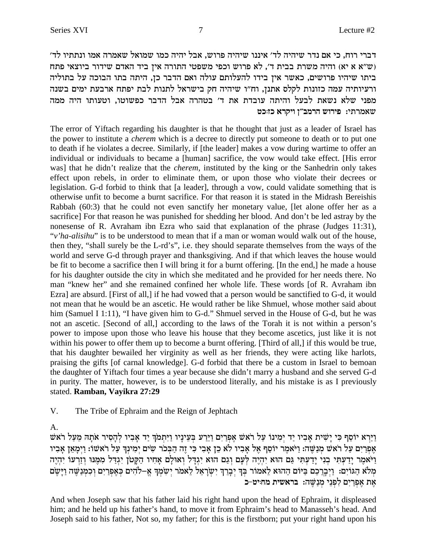דברי רוח, כי אם נדר שיהיה לד׳ איננו שיהיה פרוש, אבל יהיה כמו שמואל שאמרה אמו ונתתיו לד׳ יש א א יא) והיה משרת בבית ד', לא פרוש וכפי משפטי התורה אין ביד האדם שידור ביוצאי פתח (ש"א א יא ביתו שיהיו פרושים, כאשר אין בידו להעלותם עולה ואם הדבר כן, היתה בתו הבוכה על בתוליה ורעיותיה עמה כזונות לקלס אתנן, וח"ו שיהיה חק בישראל לתנות לבת יפתח ארבעת ימים בשנה מפני שלא נשאת לבעל והיתה עובדת את ד' בטהרה אבל הדבר כפשוטו, וטעותו היה ממה שאמרתי: פירוש הרמב"ן ויקרא כז:כט

The error of Yiftach regarding his daughter is that he thought that just as a leader of Israel has the power to institute a *cherem* which is a decree to directly put someone to death or to put one to death if he violates a decree. Similarly, if [the leader] makes a vow during wartime to offer an individual or individuals to became a [human] sacrifice, the vow would take effect. [His error was] that he didn't realize that the *cherem*, instituted by the king or the Sanhedrin only takes effect upon rebels, in order to eliminate them, or upon those who violate their decrees or legislation. G-d forbid to think that [a leader], through a vow, could validate something that is otherwise unfit to become a burnt sacrifice. For that reason it is stated in the Midrash Bereishis Rabbah (60:3) that he could not even sanctify her monetary value, [let alone offer her as a sacrifice] For that reason he was punished for shedding her blood. And don't be led astray by the nonesense of R. Avraham ibn Ezra who said that explanation of the phrase (Judges 11:31), "v'ha-alisihu" is to be understood to mean that if a man or woman would walk out of the house, then they, "shall surely be the L-rd's", i.e. they should separate themselves from the ways of the world and serve G-d through prayer and thanksgiving. And if that which leaves the house would be fit to become a sacrifice then I will bring it for a burnt offering. [In the end,] he made a house for his daughter outside the city in which she meditated and he provided for her needs there. No man "knew her" and she remained confined her whole life. These words [of R. Avraham ibn Ezra] are absurd. [First of all,] if he had vowed that a person would be sanctified to G-d, it would not mean that he would be an ascetic. He would rather be like Shmuel, whose mother said about him (Samuel I 1:11), "I have given him to G-d." Shmuel served in the House of G-d, but he was not an ascetic. [Second of all,] according to the laws of the Torah it is not within a person's power to impose upon those who leave his house that they become ascetics, just like it is not within his power to offer them up to become a burnt offering. [Third of all,] if this would be true, that his daughter bewailed her virginity as well as her friends, they were acting like harlots, praising the gifts [of carnal knowledge]. G-d forbid that there be a custom in Israel to bemoan the daughter of Yiftach four times a year because she didn't marry a husband and she served G-d in purity. The matter, however, is to be understood literally, and his mistake is as I previously stated. Ramban, Vayikra 27:29

V. The Tribe of Ephraim and the Reign of Jephtach

А.

וַיַּרְא יוֹסֵף כִּי יָשִׁית אָבִיו יַד יִמִינוֹ עַל רֹאשׁ אֵפְרַיִם וַיֵּרַע בִּעֵינָיו וַיִּתְמֹךְ יַד אָבִיו לְהָסִיר אֹתָהּ מֵעַל רֹאשׁ אִפְרַיִם עַל ראש מִנַשֶּׁה: וַיֹּאמֶר יוֹסֵף אֶל אָבִיו לֹא כֵן אָבִי כִּי זֶה הַבְּכֹר שִׂים יְמִינְךָ עַל רֹאשׁו: וַיְמְאֵן אָבִיו וַיֹּאמֵר יָדַעְתִּי בְנִי יָדַעְתִּי גַּם הוּא יִהְיֵה לְעָם וְגַם הוּא יְגִדָּל וְאוּלָם אָחִיו הַקַּטֹן יִגְדַל מְמֵנוּ וְזַרְעוֹ יִהְיֵה .<br>מלא הגוים: וַיִּבְרַכֵם בַּיּוּם הַהוּא לַאמור בְּךְ יְבְרֵךְ יִשְׂרָאֵל לֵאמר יְשִׂמְךָ אֱ–לֹהִים כְּאֶפְרַיִם וְכִמְנַשֶּׁה וַיָּשֶׁם אַת אַפְרַיִם לְפְנֵי מִנַשֵּׁה: בראשית מחויט-כ

And when Joseph saw that his father laid his right hand upon the head of Ephraim, it displeased him; and he held up his father's hand, to move it from Ephraim's head to Manasseh's head. And Joseph said to his father, Not so, my father; for this is the firstborn; put your right hand upon his

 $\overline{7}$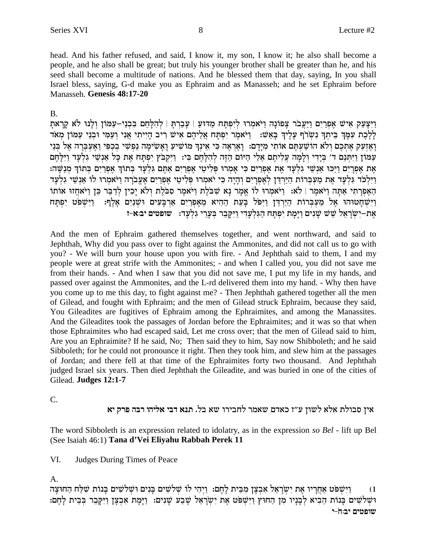head. And his father refused, and said, I know it, my son, I know it; he also shall become a people, and he also shall be great; but truly his younger brother shall be greater than he, and his seed shall become a multitude of nations. And he blessed them that day, saying, In you shall Israel bless, saying, G-d make you as Ephraim and as Manasseh; and he set Ephraim before Manasseh. Genesis 48:17-20

# **B.**

וַיִּצָּעֵק אִישׁ אֵפְרַיִם וַיַּעֲבֹר צָפוֹנָה וַיֹּאמְרוּ לִיִפְתָּח מַדּוּעַ | עָבַרִתָּ | לְהִלָּחֵם בִּבְנֵי–עַמּוֹן וְלָנוּ לֹא קָרָאתָ לַלְכֶת עִמַּךְ בִּיתַךְ נִשְׂרֹף עֲלֵיךְ בַּאֲשׁ: [יֹּאמֶר יִפְתַּח אֲלִיהֶם אִישׁ רִיב הַיִּיתִי אֲנִי ועַמִּי וּבְנֵי עַמּוֹן מִאֹד וְאֶזְעַק אֶתְכֶם וְלֹא הוֹשַׁעְתֶּם אוֹתִי מִיָּדְם: וְאֶרְאֶה כִּי אֵינְךָ מוֹשִׁיעַ וְאָשִׂימָה נַפִּשִׁי בְכַפִּי וַאֶעְבָּדָה אֶל בִּנֵי עַמוֹן וַיִּתְּנֵם ד' בְּיָדִי וְלָמָה עֲלִיתֶם אֵלֵי הַיּוֹם הַזֶּה לְהִלָּחֵם בִּי: וַיִּקְבֹּץ יִפְתַּח אֶת כַּל אַנְשֵׁי גִלְעָד וַיִּלְחֵם אֶת אָפְרֵיִם וַיַּכּוּ אַנְשֵׁי גִלְעָד אֶת אֵפְרֵים כִּי אַמְרוּ פִּלְיטֵי אֶפְרֵיִם אַתֵּם גִּלְעַד בְּתוֹךְ אָפְרֵיִם בְּתוֹךְ מְנַשֵּׁה: וַיִּלְכֹּד גַּלְעַד אֶת מַעַבְּרוֹת הַיַּרְדֶּן לְאָפְרִיִם וְהַיָּה כִּי יֹאמרוּ פִּלִיטֵי אֶפְרִים אֲעֲבֹרָה וַיֹּאמרוּ לוֹ אֲנָשֵׁי גִלְעַד הַאֲפְרָתִי אַתָּה וַיֹּאמֶר | לֹא: וַיֹּאמִרוּ לוֹ אֵמָר נָא שִׁבֹּלֵת וַיֹּאמֵר סִבּלֵת וְלֹא יָכִין לְדַבֵּר כֵּן וַיֹּאחֵזוּ אוֹתוֹ וַיִּשְׁחָטוּהוּ אֶל מַעִּבְּרוֹת הַיַּרְדֵּן וַיִּפֹּל בָּעֵת הַהִיא מֵאֶפְרַיִם אַרְבָּעִים וּשָׁנַיִם אָלֶף: וַיִּשְׁפֹּט יִפְתָּח אָת–יִשְׂרָאֵל שֵׁשׁ שַׁנִים וַיָּמַת יִפְתַּח הַגִּלְעָדִי וַיִּקַבֶר בְּעֲרֵי גִלְעַד: שופטים יב:א-ז

And the men of Ephraim gathered themselves together, and went northward, and said to Jephthah, Why did you pass over to fight against the Ammonites, and did not call us to go with you? - We will burn your house upon you with fire. - And Jephthah said to them, I and my people were at great strife with the Ammonites; - and when I called you, you did not save me from their hands. - And when I saw that you did not save me, I put my life in my hands, and passed over against the Ammonites, and the L-rd delivered them into my hand. - Why then have you come up to me this day, to fight against me? - Then Jephthah gathered together all the men of Gilead, and fought with Ephraim; and the men of Gilead struck Ephraim, because they said, You Gileadites are fugitives of Ephraim among the Ephraimites, and among the Manassites. And the Gileadites took the passages of Jordan before the Ephraimites; and it was so that when those Ephraimites who had escaped said, Let me cross over; that the men of Gilead said to him, Are you an Ephraimite? If he said, No; Then said they to him, Say now Shibboleth; and he said Sibboleth; for he could not pronounce it right. Then they took him, and slew him at the passages of Jordan; and there fell at that time of the Ephraimites forty two thousand. And Jephthah judged Israel six years. Then died Jephthah the Gileadite, and was buried in one of the cities of Gilead. Judges 12:1-7

C.

# אין סבולת אלא לשון ע"ז כאדם שאמר לחבירו שא בל. תנא דבי אליהו רבה פרק יא

The word Sibboleth is an expression related to idolatry, as in the expression so Bel - lift up Bel (See Isaiah 46:1) Tana d'Vei Eliyahu Rabbah Perek 11

VI. **Judges During Times of Peace** 

A.

וַיִּשְׁפֹּט אַחֲרָיו אֵת יִשְׂרָאֵל אִבְצָן מִבֵּית לָחֵם: וַיִּהִי לוֹ שָׁלֹשִׁים בָּנִים וּשָׁלֹשִׁים בָּנוֹת שָׁלַּח הַחוּצָה  $(1)$ וּשָׁלֹשִׁים בְּנוֹת הֵבִיא לְבָנָיו מִן הַחוּץ וַיִּשְׁפֹּט אֶת יִשְׂרָאֵל שֶׁבַע שָׁנִים: וַיָּמָת אִבְצָן וַיִּקְבֵר בְּבֵית לְהֶם: שופטים יב:חֹ-י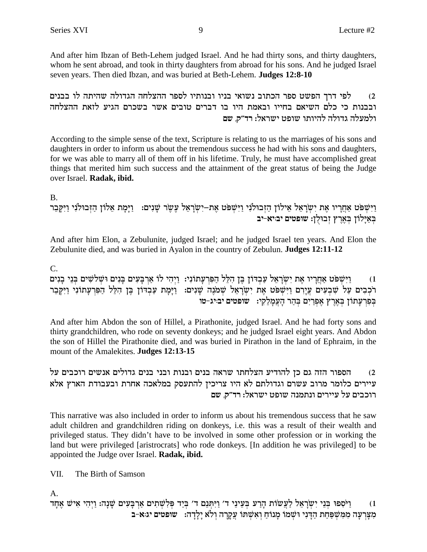And after him Ibzan of Beth-Lehem judged Israel. And he had thirty sons, and thirty daughters, whom he sent abroad, and took in thirty daughters from abroad for his sons. And he judged Israel seven years. Then died Ibzan, and was buried at Beth-Lehem. Judges 12:8-10

לפי דרך הפשט ספר הכתוב נשואי בניו ובנותיו לספר ההצלחה הגדולה שהיתה לו בבנים  $(2)$ ובבנות כי כלם השיאם בחייו ובאמת היו בו דברים טובים אשר בשכרם הגיע לזאת ההצלחה ולמעלה גדולה להיותו שופט ישראל: רד״ק, שם

According to the simple sense of the text, Scripture is relating to us the marriages of his sons and daughters in order to inform us about the tremendous success he had with his sons and daughters, for we was able to marry all of them off in his lifetime. Truly, he must have accomplished great things that merited him such success and the attainment of the great status of being the Judge over Israel. Radak, ibid.

 $\mathbf{R}$ 

וַיִּשְׁפֹּט אַחֲרָיו אֶת יִשְׂרָאֵל אֵילוֹן הַזְּבוּלֹנִי וַיִּשְׁפֹּט אֶת–יִשְׂרָאֵל עָשֶׂר שָׁנִים: וַיָּמָת אֵלוֹן הַזִּבוּלֹנִי וַיִּקָּבִר באַיָלוֹן בְאֶרֶץ זְבוּלְן: שופטים יבויא-יב

And after him Elon, a Zebulunite, judged Israel; and he judged Israel ten years. And Elon the Zebulunite died, and was buried in Ayalon in the country of Zebulun. Judges 12:11-12

 $C_{\cdot}$ 

וַיִּשְׁפֹּט אַחֲרָיו אֶת יִשְׂרָאֵל עַבְדּוֹן בֵּן הִלֵּל הַפִּרְעָתוֹנִי: וַיִּהִי לוֹ אַרְבָּעִים בָּנִים וּשָׁלֹשִׁים בְּנֵי בָנִים  $(1)$ רֹכְבִים עַל שִׁבְעִים עֲיָרִם וַיִּשְׁפֹּט אֶת יִשְׂרָאֵל שְׁמֹנֶה שָׁנִים: וַיָּמֶת עַבְדוֹן בֶּן הִלֵּל הַפִּרְעָתוֹנִי וַיִּקְבֵר בִּפְרִעָתוֹן בִּאֲרֵץ אִפְרַיִם בְּהַר הָעֲמָלֶקִי: | שופטים יביג-טו

And after him Abdon the son of Hillel, a Pirathonite, judged Israel. And he had forty sons and thirty grandchildren, who rode on seventy donkeys; and he judged Israel eight years. And Abdon the son of Hillel the Pirathonite died, and was buried in Pirathon in the land of Ephraim, in the mount of the Amalekites. Judges 12:13-15

הספור הזה גם כן להודיע הצלחתו שראה בנים ובנות ובני בנים גדולים אנשים רוכבים על  $(2)$ עיירים כלומר מרוב עשרם וגדולתם לא היו צריכין להתעסק במלאכה אחרת ובעבודת הארץ אלא רוכבים על עיירים ונתמנה שופט ישראל: רד"ק, שם

This narrative was also included in order to inform us about his tremendous success that he saw adult children and grandchildren riding on donkeys, i.e. this was a result of their wealth and privileged status. They didn't have to be involved in some other profession or in working the land but were privileged [aristrocrats] who rode donkeys. [In addition he was privileged] to be appointed the Judge over Israel. Radak, ibid.

VII. The Birth of Samson

A.

וַיֹּסְפוּ בִּנֵי יִשְׂרָאֵל לַעֲשׂוֹת הָרַע בִּעֵינֵי ד׳ וַיִּתְּנֵם ד׳ בְּיַד פִּלְשָׁתִים אַרְבָּעִים שָׁנָה: וַיִהִי אִישׁ אֵחָד  $(1)$ מִצָּרְעָה מִמְשִׁפַּחַת הַדְּנִי וּשְׁמֹוֹ מַנוֹחַ וְאִשְׁתּוֹ עֲקַרָה וְלֹא יַלְדָה: שופטים יג:א-ב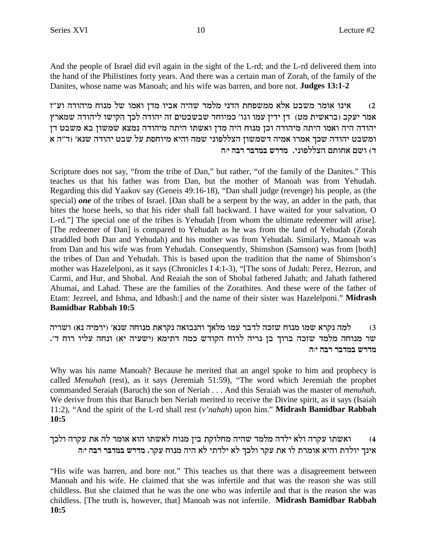And the people of Israel did evil again in the sight of the L-rd; and the L-rd delivered them into the hand of the Philistines forty years. And there was a certain man of Zorah, of the family of the Danites, whose name was Manoah; and his wife was barren, and bore not. **Judges 13:1-2** 

אינו אומר משבט אלא ממשפחת הדני מלמד שהיה אביו מדן ואמו של מנוח מיהודה וע"ז  $(2)$ אמר יעקב (בראשית מט) דן ידין עמו וגו' כמיוחד שבשבטים זה יהודה לכך הקישו ליהודה שמארץ יהודה היה ואמו היתה מיהודה וכן מנוח היה מדן ואשתו היתה מיהודה נמצא שמשון בא משבט דן ומשבט יהודה שכך אמרו אמיה דשמשון הצללפוני שמה והיא מיוחסת על שבט יהודה שנא׳ (ד״ה א ד) ושם אחותם הצללפוני. מדרש במדבר רבה יה

Scripture does not say, "from the tribe of Dan," but rather, "of the family of the Danites." This teaches us that his father was from Dan, but the mother of Manoah was from Yehudah. Regarding this did Yaakov say (Geneis 49:16-18), "Dan shall judge (revenge) his people, as (the special) *one* of the tribes of Israel. [Dan shall be a serpent by the way, an adder in the path, that bites the horse heels, so that his rider shall fall backward. I have waited for your salvation, O L-rd."] The special one of the tribes is Yehudah [from whom the ultimate redeemer will arise]. [The redeemer of Dan] is compared to Yehudah as he was from the land of Yehudah (Zorah straddled both Dan and Yehudah) and his mother was from Yehudah. Similarly, Manoah was from Dan and his wife was from Yehudah. Consequently, Shimshon (Samson) was from [both] the tribes of Dan and Yehudah. This is based upon the tradition that the name of Shimshon's mother was Hazelelponi, as it says (Chronicles I 4:1-3), "[The sons of Judah: Perez, Hezron, and Carmi, and Hur, and Shobal. And Reaiah the son of Shobal fathered Jahath; and Jahath fathered Ahumai, and Lahad. These are the families of the Zorathites. And these were of the father of Etam: Jezreel, and Ishma, and Idbash: and the name of their sister was Hazelelponi." Midrash **Bamidbar Rabbah 10:5** 

למה נקרא שמו מנוח שזכה לדבר עמו מלאך והנבואה נקראת מנוחה שנא׳ (ירמיה נא) ושריה  $(3)$ שר מנוחה מלמד שזכה ברוך בן נריה לרוח הקודש כמה דתימא (ישעיה יא) ונחה עליו רוח ד'. מדרש במדבר רבה י:ה

Why was his name Manoah? Because he merited that an angel spoke to him and prophecy is called *Menuhah* (rest), as it says (Jeremiah 51:59), "The word which Jeremiah the prophet commanded Seraiah (Baruch) the son of Neriah . . . And this Seraiah was the master of *menuhah*. We derive from this that Baruch ben Neriah merited to receive the Divine spirit, as it says (Isaiah 11:2), "And the spirit of the L-rd shall rest (v'nahah) upon him." Midrash Bamidbar Rabbah  $10:5$ 

ואשתו עקרה ולא ילדה מלמד שהיה מחלוקת בין מנוח לאשתו הוא אומר לה את עקרה ולכך  $(4)$ אינך יולדת והיא אומרת לו את עקר ולכך לא ילדתי לא היה מנוח עקר. מדרש במדבר רבה יה

"His wife was barren, and bore not." This teaches us that there was a disagreement between Manoah and his wife. He claimed that she was infertile and that was the reason she was still childless. But she claimed that he was the one who was infertile and that is the reason she was childless. [The truth is, however, that] Manoah was not infertile. Midrash Bamidbar Rabbah  $10:5$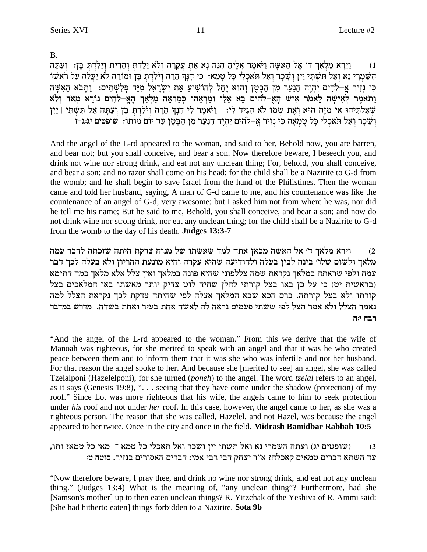$B<sub>1</sub>$ 

וַיֵּרַא מַלְאַךְ ד׳ אֵל הָאִשָּׁה וַיֹּאמֵר אֵלֵיהָ הִנֵּה נָא אַתְּ עֲקָרָה וְלֹא יַלַדְתְּ וְהָרִית וְיַלַדְתְּ בֵּן: וְעַתַּה  $(1)$ הִשָּׁמְרִי נָא וְאַל תִּשְׁתִּי יַיִן וְשֵׁכָר וְאַל תֹאכְלִי כָּל טָמֵא: כִּי הִנְךָ הְיָרָה וְיֹלַדְתְּ בֵּן וּמוֹרָה לֹא יַעֲלֶה עַל רֹאשׁוֹ כִּי נִזְיר אֵ–לֹהִים יִהְיֵה הַנַּעַר מִן הַבָּטֵן וְהוּא יַחֵל לְהוֹשִׁיעַ אֵת יִשְׂרָאֵל מִיַּד פְּלִשְׁתִּים: וַתַּבֹא הָאִשָּׁה וַתֹּאמֶר לְאִישָׁה לֵאמֹר אִישׁ הָאֵ-לֹהִים בַּא אֵלַי וּמַרְאֵהוּ כִּמַרְאֵה מַלְאַךְ הָאֵ-לֹהִים נוֹרָא מִאֹד וְלֹא שְׁאָלְתִּיהוּ אֵי מְזֶה הוּא וְאֵת שָׁמוֹ לֹא הִגִּיד לִי: וַיֹּאמֶר לִי הִנָּךְ הָרָה וִילַדְתְ בֵּן וְעַתָּה אַל תִּשְׁתִּי | יַיִּן וְשֵׁכַר וְאֲל תֹּאכְלִי כַּל טְמְאָה כִּי נִזְיר אֵ–לֹהִים יִהְיֵה הַנַּעַר מִן הַבֵּטֵן עַד יוֹם מוֹתוֹ: שופטים יג:ג-ז

And the angel of the L-rd appeared to the woman, and said to her, Behold now, you are barren, and bear not; but you shall conceive, and bear a son. Now therefore beware, I beseech you, and drink not wine nor strong drink, and eat not any unclean thing; For, behold, you shall conceive, and bear a son; and no razor shall come on his head; for the child shall be a Nazirite to G-d from the womb; and he shall begin to save Israel from the hand of the Philistines. Then the woman came and told her husband, saying, A man of G-d came to me, and his countenance was like the countenance of an angel of G-d, very awesome; but I asked him not from where he was, nor did he tell me his name; But he said to me, Behold, you shall conceive, and bear a son; and now do not drink wine nor strong drink, nor eat any unclean thing; for the child shall be a Nazirite to G-d from the womb to the day of his death. **Judges 13:3-7** 

וירא מלאך ד' אל האשה מכאן אתה למד שאשתו של מנוח צדקת היתה שזכתה לדבר עמה  $(2)$ מלאך ולשום שלו׳ בינה לבין בעלה ולהודיעה שהיא עקרה והיא מונעת ההריון ולא בעלה לכך דבר עמה ולפי שראתה במלאך נקראת שמה צללפוני שהיא פונה במלאך ואין צלל אלא מלאך כמה דתימא (בראשית יט) כי על כן באו בצל קורתי להלן שהיה לוט צדיק יותר מאשתו באו המלאכים בצל קורתו ולא בצל קורתה. ברם הכא שבא המלאך אצלה לפי שהיתה צדקת לכך נקראת הצלל למה נאמר הצלל ולא אמר הצל לפי ששתי פעמים נראה לה לאשה אחת בעיר ואחת בשדה. מדרש במדבר רבה יה

"And the angel of the L-rd appeared to the woman." From this we derive that the wife of Manoah was righteous, for she merited to speak with an angel and that it was he who created peace between them and to inform them that it was she who was infertile and not her husband. For that reason the angel spoke to her. And because she [merited to see] an angel, she was called Tzelalponi (Hazelelponi), for she turned (poneh) to the angel. The word tzelal refers to an angel, as it says (Genesis 19:8), " $\ldots$  seeing that they have come under the shadow (protection) of my roof." Since Lot was more righteous that his wife, the angels came to him to seek protection under his roof and not under her roof. In this case, however, the angel came to her, as she was a righteous person. The reason that she was called, Hazelel, and not Hazel, was because the angel appeared to her twice. Once in the city and once in the field. Midrash Bamidbar Rabbah 10:5

### (שופטים יג) ועתה השמרי נא ואל תשתי יין ושכר ואל תאכלי כל טמא ־ מאי כל טמא? ותו,  $(3)$ עד השתא דברים טמאים קאכלה? א"ר יצחק דבי רבי אמי: דברים האסורים בנזיר. סוטה ט:

"Now therefore beware, I pray thee, and drink no wine nor strong drink, and eat not any unclean thing." (Judges 13:4) What is the meaning of, "any unclean thing"? Furthermore, had she [Samson's mother] up to then eaten unclean things? R. Yitzchak of the Yeshiva of R. Ammi said: [She had hitherto eaten] things forbidden to a Nazirite. Sota 9b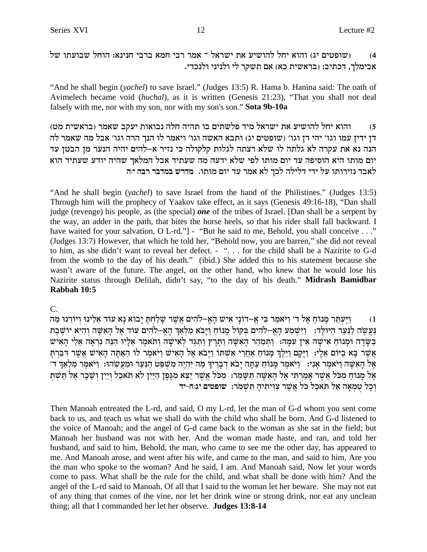(שופטים יג) והוא יחל להושיע את ישראל ־ אמר רבי חמא ברבי חנינא: הוחל שבועתו של  $(4)$ אבימלך, דכתיב: (בראשית כא) אם תשקר לי ולניני ולנכדי.

"And he shall begin (*yachel*) to save Israel." (Judges 13:5) R. Hama b. Hanina said: The oath of Avimelech became void (huchal), as it is written (Genesis 21:23), "That you shall not deal falsely with me, nor with my son, nor with my son's son." Sota 9b-10a

והוא יחל להושיע את ישראל מיד פלשתים בו תהיה חלה נבואות יעקב שאמר (בראשית מט)  $(5)$ דן ידין עמו וגו' יהי דן וגו' (שופטים יג) ותבא האשה וגו' ויאמר לו הנך הרה וגו' אבל מה שאמר לה הנה נא את עקרה לא גלתה לו שלא רצתה לגלות קלקולה כי נזיר א–להים יהיה הנער מן הבטן עד יום מותו היא הוסיפה עד יום מותו לפי שלא ידעה מה שעתיד אבל המלאך שהיה יודע שעתיד הוא לאבד נזירותו על ידי דלילה לכך לא אמר עד יום מותו. מדרש במדבר רבה יה

"And he shall begin (*vachel*) to save Israel from the hand of the Philistines." (Judges 13:5) Through him will the prophecy of Yaakov take effect, as it says (Genesis 49:16-18), "Dan shall judge (revenge) his people, as (the special) one of the tribes of Israel. [Dan shall be a serpent by the way, an adder in the path, that bites the horse heels, so that his rider shall fall backward. I have waited for your salvation, O L-rd." ] - "But he said to me, Behold, you shall conceive . . ." (Judges 13:7) However, that which he told her, "Behold now, you are barren," she did not reveal to him, as she didn't want to reveal her defect. - "... for the child shall be a Nazirite to G-d from the womb to the day of his death." (ibid.) She added this to his statement because she wasn't aware of the future. The angel, on the other hand, who knew that he would lose his Nazirite status through Delilah, didn't say, "to the day of his death." Midrash Bamidbar Rabbah 10:5

 $C_{\cdot}$ 

וַיֵּעְתַּר מַנוֹחָ אֱל ד׳ וַיֹּאמַר בִּי אֲ–דוֹנַי אִישׁ הָאֱ–לֹהִים אֲשֶׁר שַׁלַחָתַּ יָבוֹא נַא עוֹד אֱלֵינוּ וְיוֹרֵנוּ מַה  $(1)$ נַעֲשֶׂה לַנַּעַר הַיּוּלַד: וַיִּשְׁמַע הַאֵּ–לֹהִים בִּקוֹל מַנוֹחָ וַיַּבֹא מַלְאַךְ הָאֵ–לֹהִים עוֹד אֵל הַאִשָּׁה וְהִיא יוֹשֶׁבֶת ּבַשָּׂדֵה וּמָנוֹחַ אִישָׁה אֵין עִמָּהּ: וַתִּמַּהֵר הָאִשָּׁה וַתָּרָץ וַתַּגֵּד לְאִישָׁהּ וַתֹּאמֵר אֵלָיו הִנֵּה נִרְאָה אֵלַי הָאִישׁ אֲשֶׁר בָּא בַיּוֹם אֱלָי: וַיַּקַם וַיֵּלֵךְ מַנוֹחַ אַחֲרֵי אָשְׁתּוֹ וַיָּבֹא אֶל הָאִישׁ וַיֹּאמֶר לוֹ הַאַתָּה הָאִישׁ אֲשֶׁר דְּבַּרְתַּ אֶל הָאִשָּׁה וַיֹּאמֵר אָנִי: וַיֹּאמֵר מַנוֹחַ עַתָּה יָבֹא דְבָרֵיךְ מַה יְהָיֵה מִשְׁפַּט הַנַּעַר וּמַעֲשֶׂהוּ: וַיֹּאמֵר מַלְאַךְ ד׳ אֱל מַנוֹחַ מְכֹּל אֲשֶׁר אַמַרְתִּי אֱל הָאִשָּׁה תִּשָּׁמֵר: מְכֹּל אֲשֶׁר יֵצֵא מְגֵפֵן הַיַּיִן לֹא תֹאכַל וְיַיִן וְשֵׁכַר אַל תֵּשִׁתִּ וְכַל טְמְאָה אֲל תֹּאכָל כֹּל אֲשֶׁר צְוִיתִיהָ תְּשָׁמֹר: שופטים יג:ח-יד

Then Manoah entreated the L-rd, and said, O my L-rd, let the man of G-d whom you sent come back to us, and teach us what we shall do with the child who shall be born. And G-d listened to the voice of Manoah; and the angel of G-d came back to the woman as she sat in the field; but Manoah her husband was not with her. And the woman made haste, and ran, and told her husband, and said to him, Behold, the man, who came to see me the other day, has appeared to me. And Manoah arose, and went after his wife, and came to the man, and said to him, Are you the man who spoke to the woman? And he said, I am. And Manoah said, Now let your words come to pass. What shall be the rule for the child, and what shall be done with him? And the angel of the L-rd said to Manoah, Of all that I said to the woman let her beware. She may not eat of any thing that comes of the vine, nor let her drink wine or strong drink, nor eat any unclean thing; all that I commanded her let her observe. Judges 13:8-14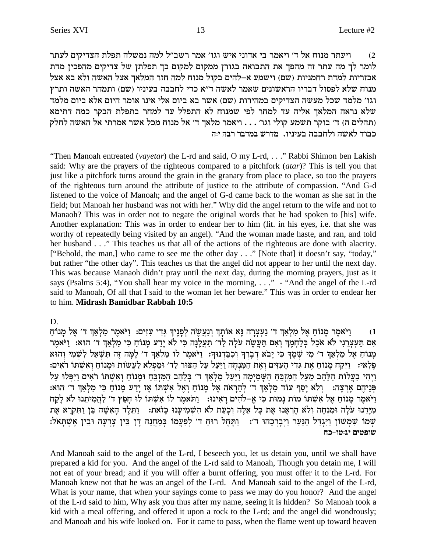ויעתר מנוח אל ד' ויאמר בי אדוני איש וגו' אמר רשב"ל למה נמשלה תפלת הצדיקים לעתר  $(2)$ לומר לך מה עתר זה מהפך את התבואה בגורן ממקום למקום כך תפלתן של צדיקים מהפכין מדת אכזריות למדת רחמניות (שם) וישמע א–להים בקול מנוח למה חזר המלאך אצל האשה ולא בא אצל מנוח שלא לפסול דבריו הראשונים שאמר לאשה ד"א כדי לחבבה בעיניו (שם) ותמהר האשה ותרץ וגו׳ מלמד שכל מעשה הצדיקים במהירות (שם) אשר בא ביום אלי אינו אומר היום אלא ביום מלמד שלא נראה המלאך אליה עד למחר לפי שמנוח לא התפלל עד למחר בתפלת הבקר כמה דתימא (תהלים ה) ד׳ בוקר תשמע קולי וגו׳ . . . ויאמר מלאך ד׳ אל מנוח מכל אשר אמרתי אל האשה לחלק כבוד לאשה ולחבבה בעיניו. מדרש במדבר רבה יה

"Then Manoah entreated (vayetar) the L-rd and said, O my L-rd, ..." Rabbi Shimon ben Lakish said: Why are the prayers of the righteous compared to a pitchfork (*atar*)? This is tell you that just like a pitchfork turns around the grain in the granary from place to place, so too the prayers of the righteous turn around the attribute of justice to the attribute of compassion. "And G-d listened to the voice of Manoah; and the angel of G-d came back to the woman as she sat in the field; but Manoah her husband was not with her." Why did the angel return to the wife and not to Manaoh? This was in order not to negate the original words that he had spoken to [his] wife. Another explanation: This was in order to endear her to him (lit. in his eyes, i.e. that she was worthy of repeatedly being visited by an angel). "And the woman made haste, and ran, and told her husband . . ." This teaches us that all of the actions of the righteous are done with alacrity. ["Behold, the man,] who came to see me the other day . . ." [Note that] it doesn't say, "today," but rather "the other day". This teaches us that the angel did not appear to her until the next day. This was because Manaoh didn't pray until the next day, during the morning prayers, just as it says (Psalms 5:4), "You shall hear my voice in the morning, . . ." - "And the angel of the L-rd said to Manoah, Of all that I said to the woman let her beware." This was in order to endear her to him. Midrash Bamidbar Rabbah 10:5

## D.

וַיֹּאמֵר מָנוֹחַ אֵל מַלְאַךְ ד׳ נַעִצְרָה נָּא אוֹתָךְ וְנַעֲשֶׂה לְפָנֵיךְ גִּדִי עִזִּים: וַיֹּאמֵר מַלְאַךְ ד׳ אֵל מָנוֹחַ  $(1)$ אם תַּעֲצְרֵנִי לֹא אֹכָל בִּלְחַמְךָ וֹאִם תַּעֲשָׂה עֹלָה לָד׳ תַעֲלֵנָּה כִּי לֹא יַדַע מֲנוֹחָ כִּי מַלְאָךְ ד׳ הוֹא: וַיֹּאמַר מנוח אל מלאד ד' מי שמד כי יבא דברד וכבדנוד: ויאמר לו מלאד ד' למה זה תשאל לשמי והוא פֵלְאי: [יִיקַח מַנוֹח אַת גִּדִי הַעִּזִים וְאֶת הַמַּנְחָה וַיַּעֲל עַל הַצּוּר לַד׳ וּמַפְלֹא לַעֲשׂוֹת וּמֲנוֹחָ וְאִשְׁתּוֹ רֹאִים: ויהי בעלות הלהב מעל המזבח השמימה ויעל מלאך ד׳ בלהב המזבח ומנוח ואשתו ראים ויפלו על פניהם ארצה: | ולא יסף עוד מלאך ד׳ להראה אל מנוח ואל אשתו אז ידע מנוח כי מלאך ד׳ הוא: ויאמר מנוח אל אשתו מות נמות כי א-להים ראינו: נתאמר לו אשתו לו חפץ ד׳ להמיתנו לא לקח מידנו עלה ומנחה ולא הראנו את כל אלה וכעת לא השמיענו כזאת: - ותלד האשה בן ותקרא את שִׁמֹּוֹ שִׁמְשׁוֹן וַיְּגְדַל הַנַּעַר וַיְבָרְכֶהוּ ד׳: הַתַּחֲל רוּחַ ד׳ לְפַעֲמוֹ בְּמַחֲנֵה דַן בֵּין צָרְעָה וּבִין אֵשְׁתַּאֹל: שופטים יג:טו-כה

And Manoah said to the angel of the L-rd, I beseech you, let us detain you, until we shall have prepared a kid for you. And the angel of the L-rd said to Manoah, Though you detain me, I will not eat of your bread; and if you will offer a burnt offering, you must offer it to the L-rd. For Manoah knew not that he was an angel of the L-rd. And Manoah said to the angel of the L-rd, What is your name, that when your sayings come to pass we may do you honor? And the angel of the L-rd said to him, Why ask you thus after my name, seeing it is hidden? So Manoah took a kid with a meal offering, and offered it upon a rock to the L-rd; and the angel did wondrously; and Manoah and his wife looked on. For it came to pass, when the flame went up toward heaven